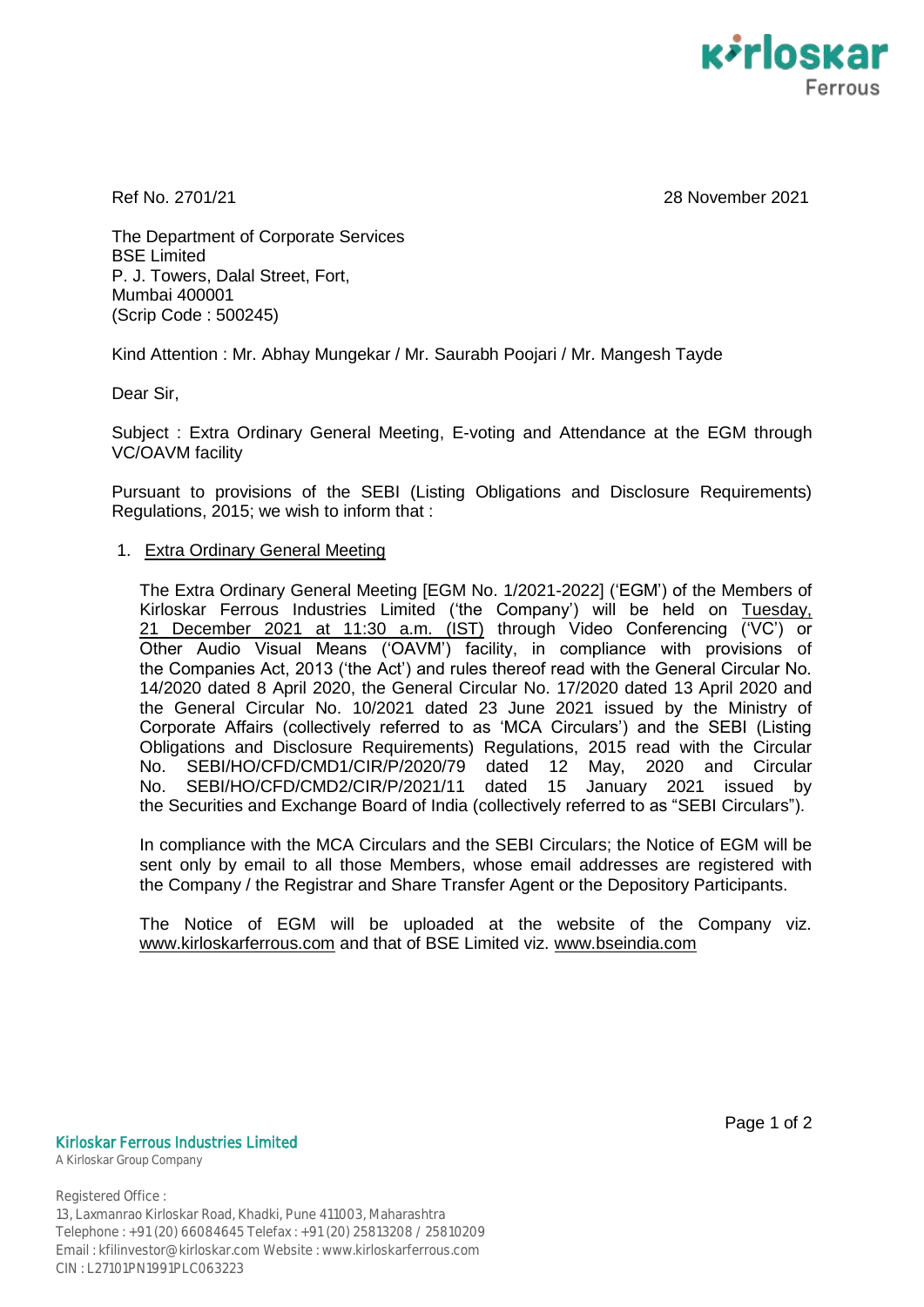

Ref No. 2701/21 28 November 2021

The Department of Corporate Services BSE Limited P. J. Towers, Dalal Street, Fort, Mumbai 400001 (Scrip Code : 500245)

Kind Attention : Mr. Abhay Mungekar / Mr. Saurabh Poojari / Mr. Mangesh Tayde

Dear Sir,

Subject : Extra Ordinary General Meeting, E-voting and Attendance at the EGM through VC/OAVM facility

Pursuant to provisions of the SEBI (Listing Obligations and Disclosure Requirements) Regulations, 2015; we wish to inform that :

# 1. Extra Ordinary General Meeting

The Extra Ordinary General Meeting [EGM No. 1/2021-2022] ("EGM") of the Members of Kirloskar Ferrous Industries Limited ('the Company') will be held on Tuesday, 21 December 2021 at 11:30 a.m. (IST) through Video Conferencing ("VC") or Other Audio Visual Means ("OAVM") facility, in compliance with provisions of the Companies Act, 2013 ("the Act") and rules thereof read with the General Circular No. 14/2020 dated 8 April 2020, the General Circular No. 17/2020 dated 13 April 2020 and the General Circular No. 10/2021 dated 23 June 2021 issued by the Ministry of Corporate Affairs (collectively referred to as "MCA Circulars") and the SEBI (Listing Obligations and Disclosure Requirements) Regulations, 2015 read with the Circular No. SEBI/HO/CFD/CMD1/CIR/P/2020/79 dated 12 May, 2020 and Circular No. SEBI/HO/CFD/CMD2/CIR/P/2021/11 dated 15 January 2021 issued by the Securities and Exchange Board of India (collectively referred to as "SEBI Circulars").

In compliance with the MCA Circulars and the SEBI Circulars; the Notice of EGM will be sent only by email to all those Members, whose email addresses are registered with the Company / the Registrar and Share Transfer Agent or the Depository Participants.

The Notice of EGM will be uploaded at the website of the Company viz. www.kirloskarferrous.com and that of BSE Limited viz. www.bseindia.com

### Kirloskar Ferrous Industries Limited

A Kirloskar Group Company

Registered Office : 13, Laxmanrao Kirloskar Road, Khadki, Pune 411003, Maharashtra Telephone : +91 (20) 66084645 Telefax : +91 (20) 25813208 / 25810209 Email : kfilinvestor@kirloskar.com Website : www.kirloskarferrous.com CIN : L27101PN1991PLC063223

Page 1 of 2